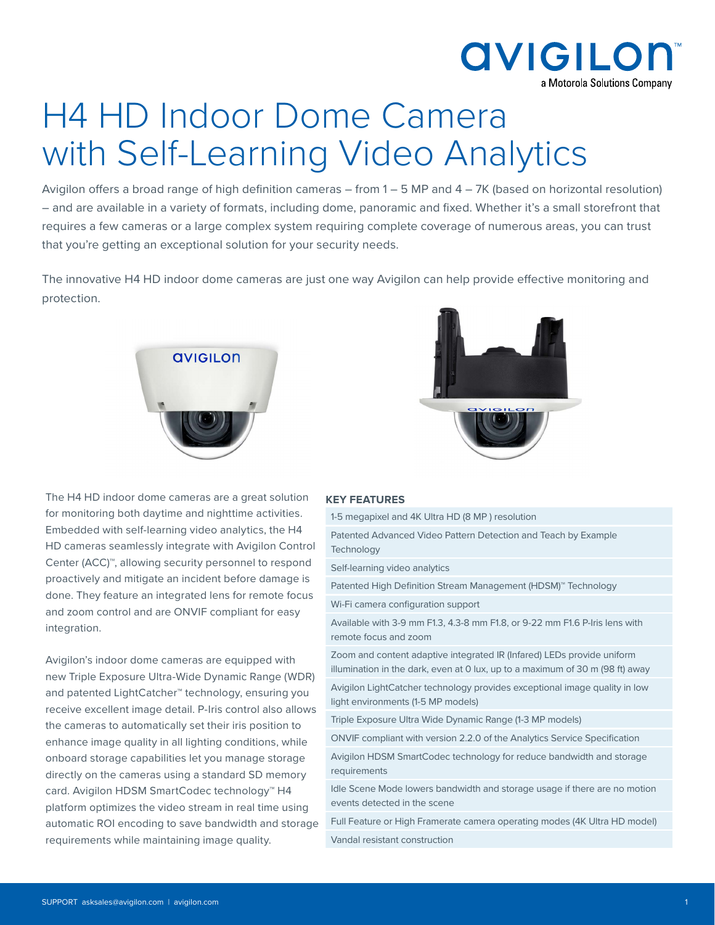

# H4 HD Indoor Dome Camera with Self-Learning Video Analytics

Avigilon offers a broad range of high definition cameras – from 1 – 5 MP and 4 – 7K (based on horizontal resolution) – and are available in a variety of formats, including dome, panoramic and fixed. Whether it's a small storefront that requires a few cameras or a large complex system requiring complete coverage of numerous areas, you can trust that you're getting an exceptional solution for your security needs.

The innovative H4 HD indoor dome cameras are just one way Avigilon can help provide effective monitoring and protection.





The H4 HD indoor dome cameras are a great solution for monitoring both daytime and nighttime activities. Embedded with self-learning video analytics, the H4 HD cameras seamlessly integrate with Avigilon Contr Center (ACC)<sup>™</sup>, allowing security personnel to respone proactively and mitigate an incident before damage is done. They feature an integrated lens for remote focu and zoom control and are ONVIF compliant for easy integration.

Avigilon's indoor dome cameras are equipped with new Triple Exposure Ultra-Wide Dynamic Range (WD) and patented LightCatcher™ technology, ensuring you receive excellent image detail. P-Iris control also allows the cameras to automatically set their iris position to enhance image quality in all lighting conditions, while onboard storage capabilities let you manage storage directly on the cameras using a standard SD memory card. Avigilon HDSM SmartCodec technology™ H4 platform optimizes the video stream in real time using automatic ROI encoding to save bandwidth and storage requirements while maintaining image quality.

#### **KEY FEATURES**

|                    | 1-5 megapixel and 4K Ultra HD (8 MP) resolution                                                                                                         |
|--------------------|---------------------------------------------------------------------------------------------------------------------------------------------------------|
| οl<br>d<br>S<br>IS | Patented Advanced Video Pattern Detection and Teach by Example<br>Technology                                                                            |
|                    | Self-learning video analytics                                                                                                                           |
|                    | Patented High Definition Stream Management (HDSM) <sup>™</sup> Technology                                                                               |
|                    | Wi-Fi camera configuration support                                                                                                                      |
|                    | Available with 3-9 mm F1.3, 4.3-8 mm F1.8, or 9-22 mm F1.6 P-Iris lens with<br>remote focus and zoom                                                    |
| R)<br>J            | Zoom and content adaptive integrated IR (Infared) LEDs provide uniform<br>illumination in the dark, even at 0 lux, up to a maximum of 30 m (98 ft) away |
|                    | Avigilon LightCatcher technology provides exceptional image quality in low<br>light environments (1-5 MP models)                                        |
| <b>NS</b>          | Triple Exposure Ultra Wide Dynamic Range (1-3 MP models)                                                                                                |
|                    | ONVIF compliant with version 2.2.0 of the Analytics Service Specification                                                                               |
| J<br>ge            | Avigilon HDSM SmartCodec technology for reduce bandwidth and storage<br>requirements                                                                    |
|                    | Idle Scene Mode lowers bandwidth and storage usage if there are no motion<br>events detected in the scene                                               |
|                    | Full Feature or High Framerate camera operating modes (4K Ultra HD model)                                                                               |
|                    |                                                                                                                                                         |

Vandal resistant construction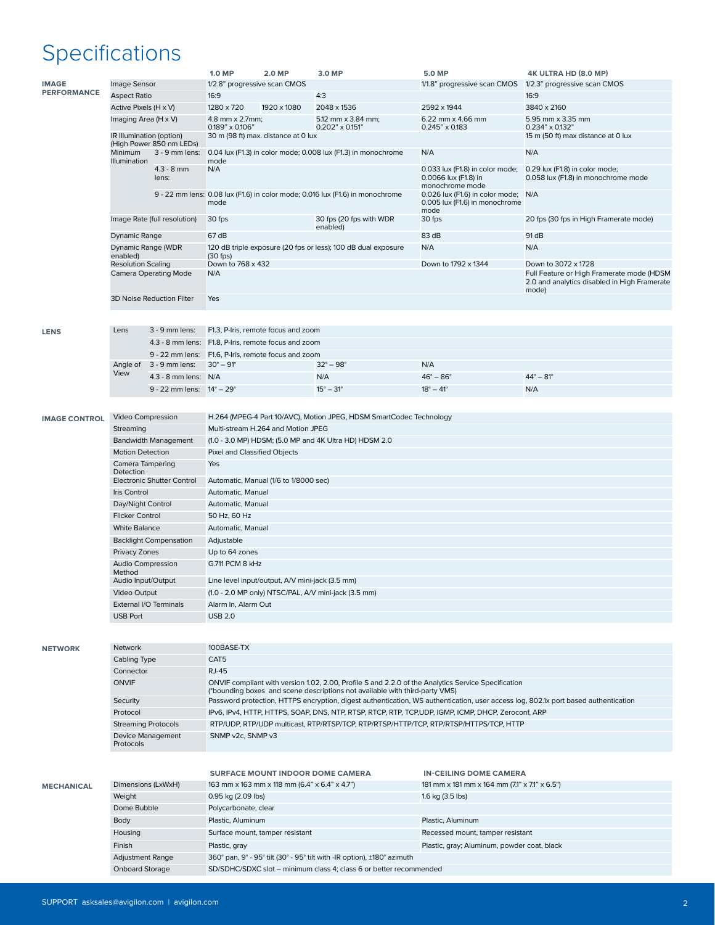## Specifications

|                      |                                   |                                                      | <b>1.0 MP</b>                                                                                                                      | 2.0 MP                                      | 3.0 MP                                                                        | <b>5.0 MP</b>                                                         | 4K ULTRA HD (8.0 MP)                                      |  |  |  |  |
|----------------------|-----------------------------------|------------------------------------------------------|------------------------------------------------------------------------------------------------------------------------------------|---------------------------------------------|-------------------------------------------------------------------------------|-----------------------------------------------------------------------|-----------------------------------------------------------|--|--|--|--|
| <b>IMAGE</b>         | Image Sensor                      |                                                      | 1/2.8" progressive scan CMOS                                                                                                       |                                             |                                                                               |                                                                       | 1/1.8" progressive scan CMOS 1/2.3" progressive scan CMOS |  |  |  |  |
| <b>PERFORMANCE</b>   | <b>Aspect Ratio</b>               |                                                      | 16:9                                                                                                                               |                                             | 4:3                                                                           |                                                                       | 16:9                                                      |  |  |  |  |
|                      |                                   |                                                      | 1280 x 720                                                                                                                         | 1920 x 1080                                 |                                                                               |                                                                       | 3840 x 2160                                               |  |  |  |  |
|                      | Active Pixels (H x V)             |                                                      |                                                                                                                                    |                                             | 2048 x 1536                                                                   | 2592 x 1944                                                           |                                                           |  |  |  |  |
|                      | Imaging Area (H x V)              |                                                      | 4.8 mm x 2.7mm;                                                                                                                    |                                             | 5.12 mm x 3.84 mm;                                                            | 6.22 mm x 4.66 mm                                                     | 5.95 mm x 3.35 mm                                         |  |  |  |  |
|                      |                                   |                                                      | $0.189" \times 0.106"$                                                                                                             | 30 m (98 ft) max. distance at 0 lux         | $0.202" \times 0.151"$                                                        | $0.245" \times 0.183$                                                 | 0.234" x 0.132"<br>15 m (50 ft) max distance at 0 lux     |  |  |  |  |
|                      | IR Illumination (option)          | (High Power 850 nm LEDs)                             |                                                                                                                                    |                                             |                                                                               |                                                                       |                                                           |  |  |  |  |
|                      | Minimum                           | 3 - 9 mm lens:                                       | N/A<br>0.04 lux (F1.3) in color mode; 0.008 lux (F1.3) in monochrome<br>N/A                                                        |                                             |                                                                               |                                                                       |                                                           |  |  |  |  |
|                      | Illumination                      |                                                      | mode                                                                                                                               |                                             |                                                                               |                                                                       |                                                           |  |  |  |  |
|                      |                                   | $4.3 - 8$ mm                                         | N/A                                                                                                                                |                                             |                                                                               | 0.033 lux (F1.8) in color mode;                                       | 0.29 lux (F1.8) in color mode;                            |  |  |  |  |
|                      |                                   | lens:                                                |                                                                                                                                    |                                             |                                                                               | 0.0066 lux (F1.8) in                                                  | 0.058 lux (F1.8) in monochrome mode                       |  |  |  |  |
|                      |                                   |                                                      |                                                                                                                                    |                                             |                                                                               | monochrome mode                                                       |                                                           |  |  |  |  |
|                      |                                   |                                                      |                                                                                                                                    |                                             | 9 - 22 mm lens: 0.08 lux (F1.6) in color mode; 0.016 lux (F1.6) in monochrome | 0.026 lux (F1.6) in color mode; N/A<br>0.005 lux (F1.6) in monochrome |                                                           |  |  |  |  |
|                      |                                   |                                                      | mode                                                                                                                               |                                             |                                                                               | mode                                                                  |                                                           |  |  |  |  |
|                      | Image Rate (full resolution)      |                                                      | 30 fps                                                                                                                             |                                             | 30 fps (20 fps with WDR                                                       | 30 fps                                                                | 20 fps (30 fps in High Framerate mode)                    |  |  |  |  |
|                      |                                   |                                                      |                                                                                                                                    |                                             | enabled)                                                                      |                                                                       |                                                           |  |  |  |  |
|                      | <b>Dynamic Range</b>              |                                                      | 67 dB                                                                                                                              |                                             |                                                                               | 83 dB                                                                 | 91 dB                                                     |  |  |  |  |
|                      | Dynamic Range (WDR                |                                                      |                                                                                                                                    |                                             |                                                                               | N/A                                                                   | N/A                                                       |  |  |  |  |
|                      | enabled)                          |                                                      | 120 dB triple exposure (20 fps or less); 100 dB dual exposure<br>$(30$ fps)                                                        |                                             |                                                                               |                                                                       |                                                           |  |  |  |  |
|                      | <b>Resolution Scaling</b>         |                                                      | Down to 768 x 432                                                                                                                  |                                             |                                                                               | Down to 1792 x 1344                                                   | Down to 3072 x 1728                                       |  |  |  |  |
|                      |                                   | <b>Camera Operating Mode</b>                         | N/A<br>Full Feature or High Framerate mode (HDSM                                                                                   |                                             |                                                                               |                                                                       |                                                           |  |  |  |  |
|                      |                                   |                                                      | 2.0 and analytics disabled in High Framerate                                                                                       |                                             |                                                                               |                                                                       |                                                           |  |  |  |  |
|                      |                                   |                                                      | mode)                                                                                                                              |                                             |                                                                               |                                                                       |                                                           |  |  |  |  |
|                      |                                   | 3D Noise Reduction Filter                            |                                                                                                                                    | Yes                                         |                                                                               |                                                                       |                                                           |  |  |  |  |
|                      |                                   |                                                      |                                                                                                                                    |                                             |                                                                               |                                                                       |                                                           |  |  |  |  |
|                      |                                   |                                                      |                                                                                                                                    |                                             |                                                                               |                                                                       |                                                           |  |  |  |  |
| <b>LENS</b>          | Lens                              | 3 - 9 mm lens:                                       |                                                                                                                                    | F1.3, P-Iris, remote focus and zoom         |                                                                               |                                                                       |                                                           |  |  |  |  |
|                      |                                   | 4.3 - 8 mm lens: F1.8, P-Iris, remote focus and zoom |                                                                                                                                    |                                             |                                                                               |                                                                       |                                                           |  |  |  |  |
|                      |                                   | 9 - 22 mm lens:                                      |                                                                                                                                    |                                             |                                                                               |                                                                       |                                                           |  |  |  |  |
|                      |                                   |                                                      | F1.6, P-Iris, remote focus and zoom                                                                                                |                                             |                                                                               |                                                                       |                                                           |  |  |  |  |
|                      | Angle of                          | 3 - 9 mm lens:                                       | $30^{\circ} - 91^{\circ}$                                                                                                          |                                             | $32^{\circ} - 98^{\circ}$                                                     | N/A                                                                   |                                                           |  |  |  |  |
|                      | View                              | 4.3 - 8 mm lens: $N/A$                               |                                                                                                                                    |                                             | N/A                                                                           | $46^{\circ} - 86^{\circ}$                                             | $44^{\circ} - 81^{\circ}$                                 |  |  |  |  |
|                      |                                   | 9 - 22 mm lens: $14^{\circ} - 29^{\circ}$            |                                                                                                                                    |                                             | $15^{\circ} - 31^{\circ}$                                                     | $18^{\circ} - 41^{\circ}$                                             | N/A                                                       |  |  |  |  |
|                      |                                   |                                                      |                                                                                                                                    |                                             |                                                                               |                                                                       |                                                           |  |  |  |  |
|                      |                                   |                                                      |                                                                                                                                    |                                             |                                                                               |                                                                       |                                                           |  |  |  |  |
| <b>IMAGE CONTROL</b> | Video Compression                 |                                                      |                                                                                                                                    |                                             |                                                                               |                                                                       |                                                           |  |  |  |  |
|                      |                                   |                                                      | H.264 (MPEG-4 Part 10/AVC), Motion JPEG, HDSM SmartCodec Technology                                                                |                                             |                                                                               |                                                                       |                                                           |  |  |  |  |
|                      | Streaming                         |                                                      | Multi-stream H.264 and Motion JPEG                                                                                                 |                                             |                                                                               |                                                                       |                                                           |  |  |  |  |
|                      | <b>Bandwidth Management</b>       |                                                      | (1.0 - 3.0 MP) HDSM; (5.0 MP and 4K Ultra HD) HDSM 2.0                                                                             |                                             |                                                                               |                                                                       |                                                           |  |  |  |  |
|                      | <b>Motion Detection</b>           |                                                      | Pixel and Classified Objects                                                                                                       |                                             |                                                                               |                                                                       |                                                           |  |  |  |  |
|                      | Camera Tampering                  |                                                      | Yes                                                                                                                                |                                             |                                                                               |                                                                       |                                                           |  |  |  |  |
|                      | Detection                         |                                                      |                                                                                                                                    |                                             |                                                                               |                                                                       |                                                           |  |  |  |  |
|                      | <b>Electronic Shutter Control</b> |                                                      | Automatic, Manual (1/6 to 1/8000 sec)                                                                                              |                                             |                                                                               |                                                                       |                                                           |  |  |  |  |
|                      | Iris Control                      |                                                      | Automatic, Manual                                                                                                                  |                                             |                                                                               |                                                                       |                                                           |  |  |  |  |
|                      | Day/Night Control                 |                                                      | Automatic, Manual                                                                                                                  |                                             |                                                                               |                                                                       |                                                           |  |  |  |  |
|                      |                                   |                                                      |                                                                                                                                    |                                             |                                                                               |                                                                       |                                                           |  |  |  |  |
|                      | <b>Flicker Control</b>            |                                                      | 50 Hz, 60 Hz                                                                                                                       |                                             |                                                                               |                                                                       |                                                           |  |  |  |  |
|                      | <b>White Balance</b>              |                                                      | Automatic, Manual                                                                                                                  |                                             |                                                                               |                                                                       |                                                           |  |  |  |  |
|                      | <b>Backlight Compensation</b>     |                                                      | Adjustable                                                                                                                         |                                             |                                                                               |                                                                       |                                                           |  |  |  |  |
|                      | Privacy Zones                     |                                                      | Up to 64 zones                                                                                                                     |                                             |                                                                               |                                                                       |                                                           |  |  |  |  |
|                      |                                   |                                                      |                                                                                                                                    |                                             |                                                                               |                                                                       |                                                           |  |  |  |  |
|                      | Audio Compression<br>Method       |                                                      | G.711 PCM 8 kHz                                                                                                                    |                                             |                                                                               |                                                                       |                                                           |  |  |  |  |
|                      | Audio Input/Output                |                                                      | Line level input/output, A/V mini-jack (3.5 mm)                                                                                    |                                             |                                                                               |                                                                       |                                                           |  |  |  |  |
|                      |                                   |                                                      |                                                                                                                                    |                                             |                                                                               |                                                                       |                                                           |  |  |  |  |
|                      | Video Output                      |                                                      | (1.0 - 2.0 MP only) NTSC/PAL, A/V mini-jack (3.5 mm)                                                                               |                                             |                                                                               |                                                                       |                                                           |  |  |  |  |
|                      | External I/O Terminals            |                                                      | Alarm In, Alarm Out                                                                                                                |                                             |                                                                               |                                                                       |                                                           |  |  |  |  |
|                      | <b>USB Port</b>                   |                                                      | <b>USB 2.0</b>                                                                                                                     |                                             |                                                                               |                                                                       |                                                           |  |  |  |  |
|                      |                                   |                                                      |                                                                                                                                    |                                             |                                                                               |                                                                       |                                                           |  |  |  |  |
|                      |                                   |                                                      |                                                                                                                                    |                                             |                                                                               |                                                                       |                                                           |  |  |  |  |
| <b>NETWORK</b>       | Network                           |                                                      | 100BASE-TX                                                                                                                         |                                             |                                                                               |                                                                       |                                                           |  |  |  |  |
|                      |                                   |                                                      |                                                                                                                                    |                                             |                                                                               |                                                                       |                                                           |  |  |  |  |
|                      | Cabling Type                      |                                                      | CAT <sub>5</sub>                                                                                                                   |                                             |                                                                               |                                                                       |                                                           |  |  |  |  |
|                      | Connector                         |                                                      | <b>RJ-45</b>                                                                                                                       |                                             |                                                                               |                                                                       |                                                           |  |  |  |  |
|                      | <b>ONVIF</b>                      |                                                      | ONVIF compliant with version 1.02, 2.00, Profile S and 2.2.0 of the Analytics Service Specification                                |                                             |                                                                               |                                                                       |                                                           |  |  |  |  |
|                      |                                   |                                                      | (*bounding boxes and scene descriptions not available with third-party VMS)                                                        |                                             |                                                                               |                                                                       |                                                           |  |  |  |  |
|                      | Security                          |                                                      | Password protection, HTTPS encryption, digest authentication, WS authentication, user access log, 802.1x port based authentication |                                             |                                                                               |                                                                       |                                                           |  |  |  |  |
|                      | Protocol                          |                                                      | IPv6, IPv4, HTTP, HTTPS, SOAP, DNS, NTP, RTSP, RTCP, RTP, TCP,UDP, IGMP, ICMP, DHCP, Zeroconf, ARP                                 |                                             |                                                                               |                                                                       |                                                           |  |  |  |  |
|                      | <b>Streaming Protocols</b>        |                                                      | RTP/UDP, RTP/UDP multicast, RTP/RTSP/TCP, RTP/RTSP/HTTP/TCP, RTP/RTSP/HTTPS/TCP, HTTP                                              |                                             |                                                                               |                                                                       |                                                           |  |  |  |  |
|                      |                                   |                                                      | SNMP v2c, SNMP v3                                                                                                                  |                                             |                                                                               |                                                                       |                                                           |  |  |  |  |
|                      | Device Management                 |                                                      |                                                                                                                                    |                                             |                                                                               |                                                                       |                                                           |  |  |  |  |
|                      | Protocols                         |                                                      |                                                                                                                                    |                                             |                                                                               |                                                                       |                                                           |  |  |  |  |
|                      |                                   |                                                      |                                                                                                                                    |                                             |                                                                               |                                                                       |                                                           |  |  |  |  |
|                      |                                   |                                                      |                                                                                                                                    |                                             |                                                                               |                                                                       |                                                           |  |  |  |  |
|                      |                                   |                                                      |                                                                                                                                    |                                             | <b>SURFACE MOUNT INDOOR DOME CAMERA</b>                                       | <b>IN-CEILING DOME CAMERA</b>                                         |                                                           |  |  |  |  |
| <b>MECHANICAL</b>    | Dimensions (LxWxH)                |                                                      | 163 mm x 163 mm x 118 mm (6.4" x 6.4" x 4.7")<br>181 mm x 181 mm x 164 mm (7.1" x 7.1" x 6.5")                                     |                                             |                                                                               |                                                                       |                                                           |  |  |  |  |
|                      | Weight                            |                                                      | 0.95 kg (2.09 lbs)<br>1.6 kg (3.5 lbs)                                                                                             |                                             |                                                                               |                                                                       |                                                           |  |  |  |  |
|                      | Dome Bubble                       |                                                      | Polycarbonate, clear                                                                                                               |                                             |                                                                               |                                                                       |                                                           |  |  |  |  |
|                      |                                   |                                                      |                                                                                                                                    |                                             |                                                                               |                                                                       |                                                           |  |  |  |  |
|                      | Body                              |                                                      | Plastic, Aluminum                                                                                                                  |                                             |                                                                               | Plastic, Aluminum                                                     |                                                           |  |  |  |  |
|                      | Housing                           |                                                      |                                                                                                                                    | Surface mount, tamper resistant             |                                                                               | Recessed mount, tamper resistant                                      |                                                           |  |  |  |  |
|                      | Finish                            |                                                      | Plastic, gray                                                                                                                      | Plastic, gray; Aluminum, powder coat, black |                                                                               |                                                                       |                                                           |  |  |  |  |
|                      | <b>Adjustment Range</b>           |                                                      |                                                                                                                                    |                                             | 360° pan, 9° - 95° tilt (30° - 95° tilt with -IR option), ±180° azimuth       |                                                                       |                                                           |  |  |  |  |
|                      |                                   |                                                      |                                                                                                                                    |                                             |                                                                               |                                                                       |                                                           |  |  |  |  |
|                      | <b>Onboard Storage</b>            |                                                      |                                                                                                                                    |                                             | SD/SDHC/SDXC slot - minimum class 4; class 6 or better recommended            |                                                                       |                                                           |  |  |  |  |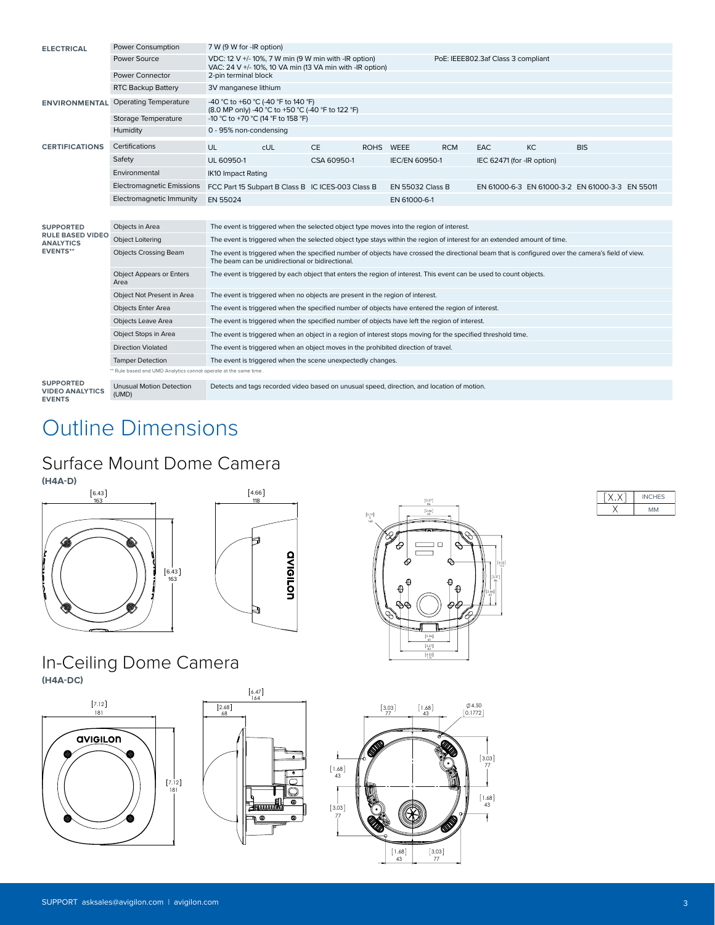| <b>ELECTRICAL</b>                                           | Power Consumption                                                | 7 W (9 W for -IR option)                                                                                                                                                                              |  |             |           |                         |            |                            |           |                                                 |  |
|-------------------------------------------------------------|------------------------------------------------------------------|-------------------------------------------------------------------------------------------------------------------------------------------------------------------------------------------------------|--|-------------|-----------|-------------------------|------------|----------------------------|-----------|-------------------------------------------------|--|
|                                                             | Power Source                                                     | VDC: 12 V +/- 10%, 7 W min (9 W min with -IR option)<br>PoE: IEEE802.3af Class 3 compliant<br>VAC: 24 V +/- 10%, 10 VA min (13 VA min with -IR option)                                                |  |             |           |                         |            |                            |           |                                                 |  |
|                                                             | <b>Power Connector</b>                                           | 2-pin terminal block                                                                                                                                                                                  |  |             |           |                         |            |                            |           |                                                 |  |
|                                                             | <b>RTC Backup Battery</b>                                        | 3V manganese lithium                                                                                                                                                                                  |  |             |           |                         |            |                            |           |                                                 |  |
| <b>ENVIRONMENTAL</b>                                        | <b>Operating Temperature</b>                                     | -40 °C to +60 °C (-40 °F to 140 °F)<br>(8.0 MP only) -40 °C to +50 °C (-40 °F to 122 °F)                                                                                                              |  |             |           |                         |            |                            |           |                                                 |  |
|                                                             | Storage Temperature                                              | -10 °C to +70 °C (14 °F to 158 °F)                                                                                                                                                                    |  |             |           |                         |            |                            |           |                                                 |  |
|                                                             | Humidity                                                         | 0 - 95% non-condensing                                                                                                                                                                                |  |             |           |                         |            |                            |           |                                                 |  |
| <b>CERTIFICATIONS</b>                                       | Certifications                                                   | UL<br><b>CUL</b>                                                                                                                                                                                      |  | <b>CE</b>   | ROHS WEEE |                         | <b>RCM</b> | EAC                        | <b>KC</b> | <b>BIS</b>                                      |  |
|                                                             | Safety                                                           | UL 60950-1                                                                                                                                                                                            |  | CSA 60950-1 |           | <b>IEC/EN 60950-1</b>   |            | IEC 62471 (for -IR option) |           |                                                 |  |
|                                                             | Environmental                                                    | <b>IK10 Impact Rating</b>                                                                                                                                                                             |  |             |           |                         |            |                            |           |                                                 |  |
|                                                             | <b>Electromagnetic Emissions</b>                                 | FCC Part 15 Subpart B Class B IC ICES-003 Class B                                                                                                                                                     |  |             |           | <b>EN 55032 Class B</b> |            |                            |           | EN 61000-6-3 EN 61000-3-2 EN 61000-3-3 EN 55011 |  |
|                                                             | Electromagnetic Immunity                                         | EN 55024                                                                                                                                                                                              |  |             |           | EN 61000-6-1            |            |                            |           |                                                 |  |
|                                                             |                                                                  |                                                                                                                                                                                                       |  |             |           |                         |            |                            |           |                                                 |  |
| <b>SUPPORTED</b>                                            | Objects in Area                                                  | The event is triggered when the selected object type moves into the region of interest.                                                                                                               |  |             |           |                         |            |                            |           |                                                 |  |
| <b>RULE BASED VIDEO</b><br><b>ANALYTICS</b>                 | <b>Object Loitering</b>                                          | The event is triggered when the selected object type stays within the region of interest for an extended amount of time.                                                                              |  |             |           |                         |            |                            |           |                                                 |  |
| <b>EVENTS**</b>                                             | <b>Objects Crossing Beam</b>                                     | The event is triggered when the specified number of objects have crossed the directional beam that is configured over the camera's field of view.<br>The beam can be unidirectional or bidirectional. |  |             |           |                         |            |                            |           |                                                 |  |
|                                                             | <b>Object Appears or Enters</b><br>Area                          | The event is triggered by each object that enters the region of interest. This event can be used to count objects.                                                                                    |  |             |           |                         |            |                            |           |                                                 |  |
|                                                             | Object Not Present in Area                                       | The event is triggered when no objects are present in the region of interest.                                                                                                                         |  |             |           |                         |            |                            |           |                                                 |  |
|                                                             | Objects Enter Area                                               | The event is triggered when the specified number of objects have entered the region of interest.                                                                                                      |  |             |           |                         |            |                            |           |                                                 |  |
|                                                             | <b>Objects Leave Area</b>                                        | The event is triggered when the specified number of objects have left the region of interest.                                                                                                         |  |             |           |                         |            |                            |           |                                                 |  |
|                                                             | Object Stops in Area                                             | The event is triggered when an object in a region of interest stops moving for the specified threshold time.                                                                                          |  |             |           |                         |            |                            |           |                                                 |  |
|                                                             | <b>Direction Violated</b>                                        | The event is triggered when an object moves in the prohibited direction of travel.                                                                                                                    |  |             |           |                         |            |                            |           |                                                 |  |
|                                                             | <b>Tamper Detection</b>                                          | The event is triggered when the scene unexpectedly changes.                                                                                                                                           |  |             |           |                         |            |                            |           |                                                 |  |
|                                                             | ** Rule based and UMD Analytics cannot operate at the same time. |                                                                                                                                                                                                       |  |             |           |                         |            |                            |           |                                                 |  |
| <b>SUPPORTED</b><br><b>VIDEO ANALYTICS</b><br><b>EVENTS</b> | <b>Unusual Motion Detection</b><br>(UMD)                         | Detects and tags recorded video based on unusual speed, direction, and location of motion.                                                                                                            |  |             |           |                         |            |                            |           |                                                 |  |

### Outline Dimensions

#### Surface Mount Dome Camera





#### In-Ceiling Dome Camera **(H4A-DC)**





4.66<br>118